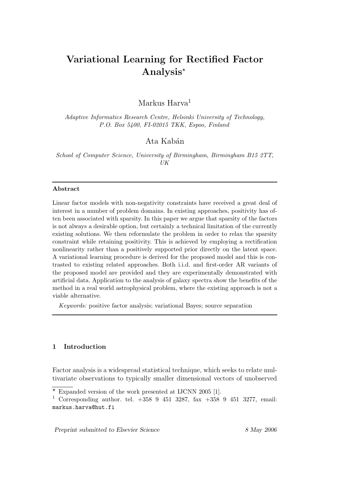# Variational Learning for Rectified Factor Analysis $*$

Markus Harva<sup>1</sup>

Adaptive Informatics Research Centre, Helsinki University of Technology, P.O. Box 5400, FI-02015 TKK, Espoo, Finland

## Ata Kabán

School of Computer Science, University of Birmingham, Birmingham B15 2TT, UK

#### Abstract

Linear factor models with non-negativity constraints have received a great deal of interest in a number of problem domains. In existing approaches, positivity has often been associated with sparsity. In this paper we argue that sparsity of the factors is not always a desirable option, but certainly a technical limitation of the currently existing solutions. We then reformulate the problem in order to relax the sparsity constraint while retaining positivity. This is achieved by employing a rectification nonlinearity rather than a positively supported prior directly on the latent space. A variational learning procedure is derived for the proposed model and this is contrasted to existing related approaches. Both i.i.d. and first-order AR variants of the proposed model are provided and they are experimentally demonstrated with artificial data. Application to the analysis of galaxy spectra show the benefits of the method in a real world astrophysical problem, where the existing approach is not a viable alternative.

Keywords: positive factor analysis; variational Bayes; source separation

## 1 Introduction

Factor analysis is a widespread statistical technique, which seeks to relate multivariate observations to typically smaller dimensional vectors of unobserved

 $\star$  Expanded version of the work presented at IJCNN 2005 [1].

<sup>1</sup> Corresponding author. tel. +358 9 451 3287, fax +358 9 451 3277, email: markus.harva@hut.fi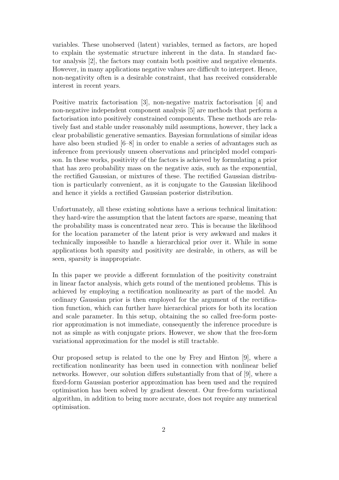variables. These unobserved (latent) variables, termed as factors, are hoped to explain the systematic structure inherent in the data. In standard factor analysis [2], the factors may contain both positive and negative elements. However, in many applications negative values are difficult to interpret. Hence, non-negativity often is a desirable constraint, that has received considerable interest in recent years.

Positive matrix factorisation [3], non-negative matrix factorisation [4] and non-negative independent component analysis [5] are methods that perform a factorisation into positively constrained components. These methods are relatively fast and stable under reasonably mild assumptions, however, they lack a clear probabilistic generative semantics. Bayesian formulations of similar ideas have also been studied  $[6–8]$  in order to enable a series of advantages such as inference from previously unseen observations and principled model comparison. In these works, positivity of the factors is achieved by formulating a prior that has zero probability mass on the negative axis, such as the exponential, the rectified Gaussian, or mixtures of these. The rectified Gaussian distribution is particularly convenient, as it is conjugate to the Gaussian likelihood and hence it yields a rectified Gaussian posterior distribution.

Unfortunately, all these existing solutions have a serious technical limitation: they hard-wire the assumption that the latent factors are sparse, meaning that the probability mass is concentrated near zero. This is because the likelihood for the location parameter of the latent prior is very awkward and makes it technically impossible to handle a hierarchical prior over it. While in some applications both sparsity and positivity are desirable, in others, as will be seen, sparsity is inappropriate.

In this paper we provide a different formulation of the positivity constraint in linear factor analysis, which gets round of the mentioned problems. This is achieved by employing a rectification nonlinearity as part of the model. An ordinary Gaussian prior is then employed for the argument of the rectification function, which can further have hierarchical priors for both its location and scale parameter. In this setup, obtaining the so called free-form posterior approximation is not immediate, consequently the inference procedure is not as simple as with conjugate priors. However, we show that the free-form variational approximation for the model is still tractable.

Our proposed setup is related to the one by Frey and Hinton [9], where a rectification nonlinearity has been used in connection with nonlinear belief networks. However, our solution differs substantially from that of [9], where a fixed-form Gaussian posterior approximation has been used and the required optimisation has been solved by gradient descent. Our free-form variational algorithm, in addition to being more accurate, does not require any numerical optimisation.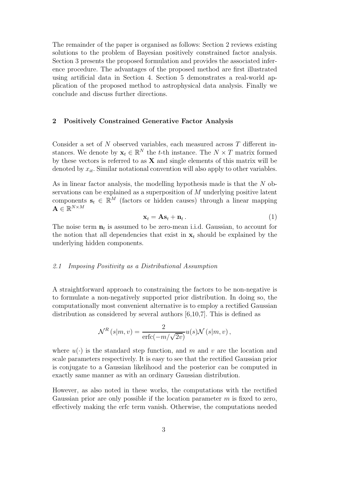The remainder of the paper is organised as follows: Section 2 reviews existing solutions to the problem of Bayesian positively constrained factor analysis. Section 3 presents the proposed formulation and provides the associated inference procedure. The advantages of the proposed method are first illustrated using artificial data in Section 4. Section 5 demonstrates a real-world application of the proposed method to astrophysical data analysis. Finally we conclude and discuss further directions.

#### 2 Positively Constrained Generative Factor Analysis

Consider a set of  $N$  observed variables, each measured across  $T$  different instances. We denote by  $\mathbf{x}_t \in \mathbb{R}^N$  the t-th instance. The  $N \times T$  matrix formed by these vectors is referred to as  $X$  and single elements of this matrix will be denoted by  $x_{it}$ . Similar notational convention will also apply to other variables.

As in linear factor analysis, the modelling hypothesis made is that the  $N$  observations can be explained as a superposition of M underlying positive latent components  $\mathbf{s}_t \in \mathbb{R}^M$  (factors or hidden causes) through a linear mapping  $\mathbf{A} \in \mathbb{R}^{N \times M}$ 

$$
\mathbf{x}_t = \mathbf{A}\mathbf{s}_t + \mathbf{n}_t. \tag{1}
$$

The noise term  $\mathbf{n}_t$  is assumed to be zero-mean i.i.d. Gaussian, to account for the notion that all dependencies that exist in  $x_t$  should be explained by the underlying hidden components.

#### 2.1 Imposing Positivity as a Distributional Assumption

A straightforward approach to constraining the factors to be non-negative is to formulate a non-negatively supported prior distribution. In doing so, the computationally most convenient alternative is to employ a rectified Gaussian distribution as considered by several authors [6,10,7]. This is defined as

$$
\mathcal{N}^{R}(s|m,v) = \frac{2}{\text{erfc}(-m/\sqrt{2v})} u(s) \mathcal{N}(s|m,v),
$$

where  $u(\cdot)$  is the standard step function, and m and v are the location and scale parameters respectively. It is easy to see that the rectified Gaussian prior is conjugate to a Gaussian likelihood and the posterior can be computed in exactly same manner as with an ordinary Gaussian distribution.

However, as also noted in these works, the computations with the rectified Gaussian prior are only possible if the location parameter  $m$  is fixed to zero, effectively making the erfc term vanish. Otherwise, the computations needed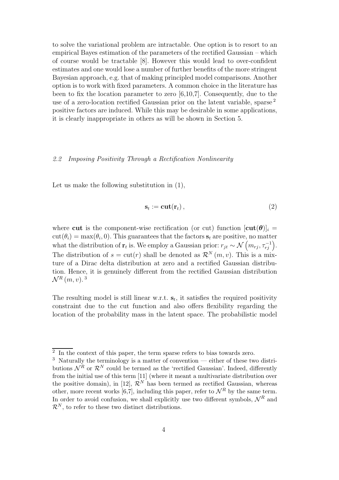to solve the variational problem are intractable. One option is to resort to an empirical Bayes estimation of the parameters of the rectified Gaussian – which of course would be tractable [8]. However this would lead to over-confident estimates and one would lose a number of further benefits of the more stringent Bayesian approach, e.g. that of making principled model comparisons. Another option is to work with fixed parameters. A common choice in the literature has been to fix the location parameter to zero  $[6,10,7]$ . Consequently, due to the use of a zero-location rectified Gaussian prior on the latent variable, sparse <sup>2</sup> positive factors are induced. While this may be desirable in some applications, it is clearly inappropriate in others as will be shown in Section 5.

### 2.2 Imposing Positivity Through a Rectification Nonlinearity

Let us make the following substitution in (1),

$$
\mathbf{s}_t := \mathbf{cut}(\mathbf{r}_t),\tag{2}
$$

where **cut** is the component-wise rectification (or cut) function  $[\text{cut}(\theta)]_i =$  $\text{cut}(\theta_i) = \max(\theta_i, 0)$ . This guarantees that the factors  $\mathbf{s}_t$  are positive, no matter what the distribution of  $\mathbf{r}_t$  is. We employ a Gaussian prior:  $r_{jt} \sim \mathcal{N}(m_{rj}, \tau_{rj}^{-1}).$ The distribution of  $s = \text{cut}(r)$  shall be denoted as  $\mathcal{R}^{N}(m, v)$ . This is a mixture of a Dirac delta distribution at zero and a rectified Gaussian distribution. Hence, it is genuinely different from the rectified Gaussian distribution  $\mathcal{N}^R(m, v)$ .<sup>3</sup>

The resulting model is still linear w.r.t.  $s_t$ , it satisfies the required positivity constraint due to the cut function and also offers flexibility regarding the location of the probability mass in the latent space. The probabilistic model

<sup>&</sup>lt;sup>2</sup> In the context of this paper, the term sparse refers to bias towards zero.

<sup>3</sup> Naturally the terminology is a matter of convention — either of these two distributions  $\mathcal{N}^R$  or  $\mathcal{R}^N$  could be termed as the 'rectified Gaussian'. Indeed, differently from the initial use of this term [11] (where it meant a multivariate distribution over the positive domain), in [12],  $\mathcal{R}^N$  has been termed as rectified Gaussian, whereas other, more recent works [6,7], including this paper, refer to  $\mathcal{N}^R$  by the same term. In order to avoid confusion, we shall explicitly use two different symbols,  $\mathcal{N}^R$  and  $\mathcal{R}^N$ , to refer to these two distinct distributions.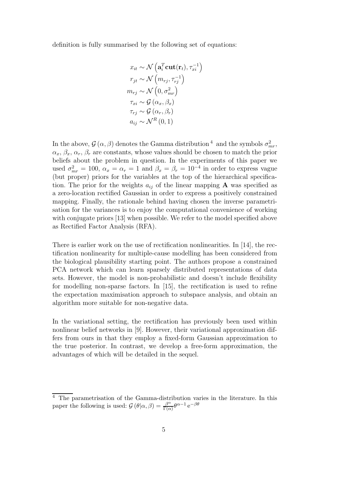definition is fully summarised by the following set of equations:

$$
x_{it} \sim \mathcal{N}\left(\mathbf{a}_i^T \mathbf{cut}(\mathbf{r}_t), \tau_{xi}^{-1}\right)
$$
  
\n
$$
r_{jt} \sim \mathcal{N}\left(m_{rj}, \tau_{rj}^{-1}\right)
$$
  
\n
$$
m_{rj} \sim \mathcal{N}\left(0, \sigma_{mr}^2\right)
$$
  
\n
$$
\tau_{xi} \sim \mathcal{G}\left(\alpha_x, \beta_x\right)
$$
  
\n
$$
\tau_{rj} \sim \mathcal{G}\left(\alpha_r, \beta_r\right)
$$
  
\n
$$
a_{ij} \sim \mathcal{N}^R\left(0, 1\right)
$$

In the above,  $\mathcal{G}(\alpha, \beta)$  denotes the Gamma distribution<sup>4</sup> and the symbols  $\sigma_{mr}^2$ ,  $\alpha_x, \beta_x, \alpha_r, \beta_r$  are constants, whose values should be chosen to match the prior beliefs about the problem in question. In the experiments of this paper we used  $\sigma_{mr}^2 = 100$ ,  $\alpha_x = \alpha_r = 1$  and  $\beta_x = \beta_r = 10^{-4}$  in order to express vague (but proper) priors for the variables at the top of the hierarchical specification. The prior for the weights  $a_{ij}$  of the linear mapping **A** was specified as a zero-location rectified Gaussian in order to express a positively constrained mapping. Finally, the rationale behind having chosen the inverse parametrisation for the variances is to enjoy the computational convenience of working with conjugate priors [13] when possible. We refer to the model specified above as Rectified Factor Analysis (RFA).

There is earlier work on the use of rectification nonlinearities. In [14], the rectification nonlinearity for multiple-cause modelling has been considered from the biological plausibility starting point. The authors propose a constrained PCA network which can learn sparsely distributed representations of data sets. However, the model is non-probabilistic and doesn't include flexibility for modelling non-sparse factors. In [15], the rectification is used to refine the expectation maximisation approach to subspace analysis, and obtain an algorithm more suitable for non-negative data.

In the variational setting, the rectification has previously been used within nonlinear belief networks in [9]. However, their variational approximation differs from ours in that they employ a fixed-form Gaussian approximation to the true posterior. In contrast, we develop a free-form approximation, the advantages of which will be detailed in the sequel.

<sup>4</sup> The parametrisation of the Gamma-distribution varies in the literature. In this paper the following is used:  $\mathcal{G}(\theta|\alpha,\beta) = \frac{\beta^{\alpha}}{\Gamma(\alpha)}$  $\frac{\beta^{\alpha}}{\Gamma(\alpha)}\theta^{\alpha-1} e^{-\beta\theta}$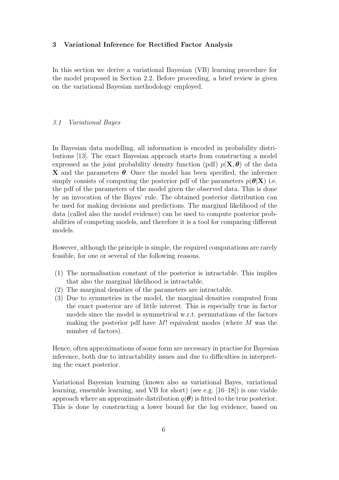#### 3 Variational Inference for Rectified Factor Analysis

In this section we derive a variational Bayesian (VB) learning procedure for the model proposed in Section 2.2. Before proceeding, a brief review is given on the variational Bayesian methodology employed.

#### 3.1 Variational Bayes

In Bayesian data modelling, all information is encoded in probability distributions [13]. The exact Bayesian approach starts from constructing a model expressed as the joint probability density function (pdf)  $p(\mathbf{X}, \boldsymbol{\theta})$  of the data **X** and the parameters  $\theta$ . Once the model has been specified, the inference simply consists of computing the posterior pdf of the parameters  $p(\theta|X)$  i.e. the pdf of the parameters of the model given the observed data. This is done by an invocation of the Bayes' rule. The obtained posterior distribution can be used for making decisions and predictions. The marginal likelihood of the data (called also the model evidence) can be used to compute posterior probabilities of competing models, and therefore it is a tool for comparing different models.

However, although the principle is simple, the required computations are rarely feasible, for one or several of the following reasons.

- (1) The normalisation constant of the posterior is intractable. This implies that also the marginal likelihood is intractable.
- (2) The marginal densities of the parameters are intractable.
- (3) Due to symmetries in the model, the marginal densities computed from the exact posterior are of little interest. This is especially true in factor models since the model is symmetrical w.r.t. permutations of the factors making the posterior pdf have  $M!$  equivalent modes (where  $M$  was the number of factors).

Hence, often approximations of some form are necessary in practise for Bayesian inference, both due to intractability issues and due to difficulties in interpreting the exact posterior.

Variational Bayesian learning (known also as variational Bayes, variational learning, ensemble learning, and VB for short) (see e.g. [16–18]) is one viable approach where an approximate distribution  $q(\theta)$  is fitted to the true posterior. This is done by constructing a lower bound for the log evidence, based on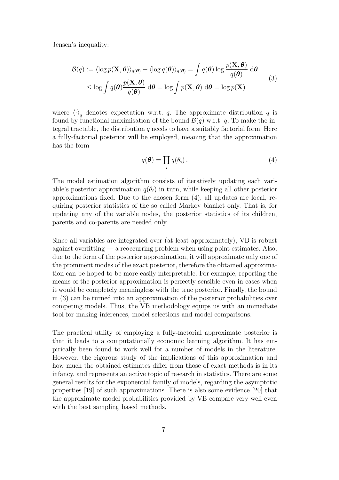Jensen's inequality:

$$
\mathcal{B}(q) := \langle \log p(\mathbf{X}, \boldsymbol{\theta}) \rangle_{q(\boldsymbol{\theta})} - \langle \log q(\boldsymbol{\theta}) \rangle_{q(\boldsymbol{\theta})} = \int q(\boldsymbol{\theta}) \log \frac{p(\mathbf{X}, \boldsymbol{\theta})}{q(\boldsymbol{\theta})} d\boldsymbol{\theta}
$$
  
\$\leq \log \int q(\boldsymbol{\theta}) \frac{p(\mathbf{X}, \boldsymbol{\theta})}{q(\boldsymbol{\theta})} d\boldsymbol{\theta} = \log \int p(\mathbf{X}, \boldsymbol{\theta}) d\boldsymbol{\theta} = \log p(\mathbf{X}) \qquad (3)

where  $\langle \cdot \rangle_q$  denotes expectation w.r.t. q. The approximate distribution q is found by functional maximisation of the bound  $\mathcal{B}(q)$  w.r.t. q. To make the integral tractable, the distribution  $q$  needs to have a suitably factorial form. Here a fully-factorial posterior will be employed, meaning that the approximation has the form

$$
q(\boldsymbol{\theta}) = \prod_i q(\theta_i). \tag{4}
$$

The model estimation algorithm consists of iteratively updating each variable's posterior approximation  $q(\theta_i)$  in turn, while keeping all other posterior approximations fixed. Due to the chosen form (4), all updates are local, requiring posterior statistics of the so called Markov blanket only. That is, for updating any of the variable nodes, the posterior statistics of its children, parents and co-parents are needed only.

Since all variables are integrated over (at least approximately), VB is robust against overfitting — a reoccurring problem when using point estimates. Also, due to the form of the posterior approximation, it will approximate only one of the prominent modes of the exact posterior, therefore the obtained approximation can be hoped to be more easily interpretable. For example, reporting the means of the posterior approximation is perfectly sensible even in cases when it would be completely meaningless with the true posterior. Finally, the bound in (3) can be turned into an approximation of the posterior probabilities over competing models. Thus, the VB methodology equips us with an immediate tool for making inferences, model selections and model comparisons.

The practical utility of employing a fully-factorial approximate posterior is that it leads to a computationally economic learning algorithm. It has empirically been found to work well for a number of models in the literature. However, the rigorous study of the implications of this approximation and how much the obtained estimates differ from those of exact methods is in its infancy, and represents an active topic of research in statistics. There are some general results for the exponential family of models, regarding the asymptotic properties [19] of such approximations. There is also some evidence [20] that the approximate model probabilities provided by VB compare very well even with the best sampling based methods.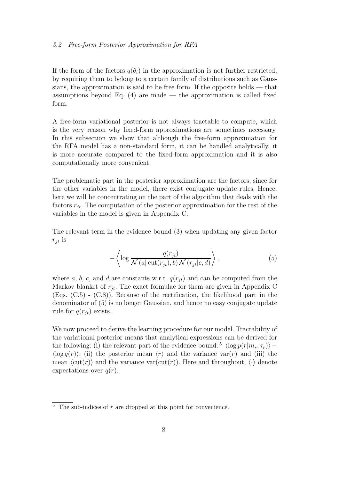#### 3.2 Free-form Posterior Approximation for RFA

If the form of the factors  $q(\theta_i)$  in the approximation is not further restricted, by requiring them to belong to a certain family of distributions such as Gaussians, the approximation is said to be free form. If the opposite holds — that assumptions beyond Eq.  $(4)$  are made — the approximation is called fixed form.

A free-form variational posterior is not always tractable to compute, which is the very reason why fixed-form approximations are sometimes necessary. In this subsection we show that although the free-form approximation for the RFA model has a non-standard form, it can be handled analytically, it is more accurate compared to the fixed-form approximation and it is also computationally more convenient.

The problematic part in the posterior approximation are the factors, since for the other variables in the model, there exist conjugate update rules. Hence, here we will be concentrating on the part of the algorithm that deals with the factors  $r_{it}$ . The computation of the posterior approximation for the rest of the variables in the model is given in Appendix C.

The relevant term in the evidence bound (3) when updating any given factor  $r_{it}$  is

$$
-\left\langle \log \frac{q(r_{jt})}{\mathcal{N}\left(a|\cot(r_{jt}),b\right)\mathcal{N}\left(r_{jt}|c,d\right)}\right\rangle, \tag{5}
$$

where a, b, c, and d are constants w.r.t.  $q(r_{it})$  and can be computed from the Markov blanket of  $r_{it}$ . The exact formulae for them are given in Appendix C (Eqs. (C.5) - (C.8)). Because of the rectification, the likelihood part in the denominator of (5) is no longer Gaussian, and hence no easy conjugate update rule for  $q(r_{it})$  exists.

We now proceed to derive the learning procedure for our model. Tractability of the variational posterior means that analytical expressions can be derived for the following: (i) the relevant part of the evidence bound:<sup>5</sup>  $\langle \log p(r|m_r, \tau_r) \rangle$  –  $\langle \log q(r) \rangle$ , (ii) the posterior mean  $\langle r \rangle$  and the variance var(r) and (iii) the mean  $\langle \text{cut}(r) \rangle$  and the variance var $(\text{cut}(r))$ . Here and throughout,  $\langle \cdot \rangle$  denote expectations over  $q(r)$ .

 $5$  The sub-indices of r are dropped at this point for convenience.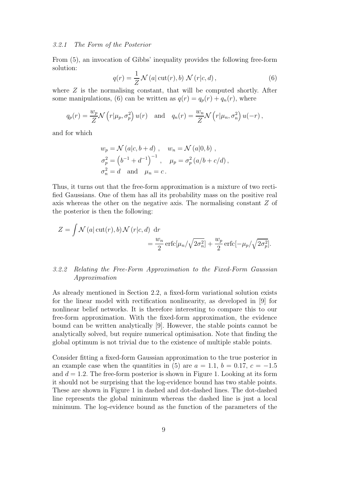#### 3.2.1 The Form of the Posterior

From (5), an invocation of Gibbs' inequality provides the following free-form solution:

$$
q(r) = \frac{1}{Z} \mathcal{N}\left(a|\cot(r),b\right) \mathcal{N}\left(r|c,d\right),\tag{6}
$$

where  $Z$  is the normalising constant, that will be computed shortly. After some manipulations, (6) can be written as  $q(r) = q_p(r) + q_n(r)$ , where

$$
q_p(r) = \frac{w_p}{Z} \mathcal{N}\left(r|\mu_p, \sigma_p^2\right) u(r)
$$
 and  $q_n(r) = \frac{w_n}{Z} \mathcal{N}\left(r|\mu_n, \sigma_n^2\right) u(-r)$ ,

and for which

$$
w_p = \mathcal{N}(a|c, b+d)
$$
,  $w_n = \mathcal{N}(a|0, b)$ ,  
\n $\sigma_p^2 = (b^{-1} + d^{-1})^{-1}$ ,  $\mu_p = \sigma_p^2(a/b + c/d)$ ,  
\n $\sigma_n^2 = d$  and  $\mu_n = c$ .

Thus, it turns out that the free-form approximation is a mixture of two rectified Gaussians. One of them has all its probability mass on the positive real axis whereas the other on the negative axis. The normalising constant Z of the posterior is then the following:

$$
Z = \int \mathcal{N}(a|\cot(r), b) \mathcal{N}(r|c, d) dr
$$
  
=  $\frac{w_n}{2} \operatorname{erfc}[\mu_n/\sqrt{2\sigma_n^2}] + \frac{w_p}{2} \operatorname{erfc}[-\mu_p/\sqrt{2\sigma_p^2}].$ 

## 3.2.2 Relating the Free-Form Approximation to the Fixed-Form Gaussian Approximation

As already mentioned in Section 2.2, a fixed-form variational solution exists for the linear model with rectification nonlinearity, as developed in [9] for nonlinear belief networks. It is therefore interesting to compare this to our free-form approximation. With the fixed-form approximation, the evidence bound can be written analytically [9]. However, the stable points cannot be analytically solved, but require numerical optimisation. Note that finding the global optimum is not trivial due to the existence of multiple stable points.

Consider fitting a fixed-form Gaussian approximation to the true posterior in an example case when the quantities in (5) are  $a = 1.1, b = 0.17, c = -1.5$ and  $d = 1.2$ . The free-form posterior is shown in Figure 1. Looking at its form it should not be surprising that the log-evidence bound has two stable points. These are shown in Figure 1 in dashed and dot-dashed lines. The dot-dashed line represents the global minimum whereas the dashed line is just a local minimum. The log-evidence bound as the function of the parameters of the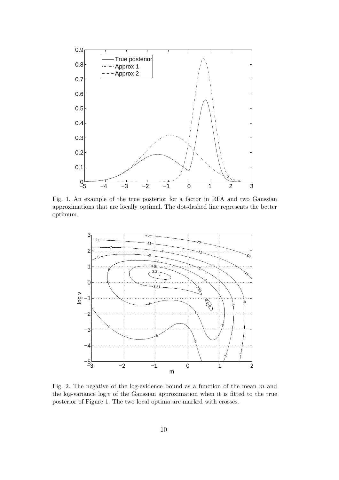

Fig. 1. An example of the true posterior for a factor in RFA and two Gaussian approximations that are locally optimal. The dot-dashed line represents the better optimum.



Fig. 2. The negative of the log-evidence bound as a function of the mean  $m$  and the log-variance  $\log v$  of the Gaussian approximation when it is fitted to the true posterior of Figure 1. The two local optima are marked with crosses.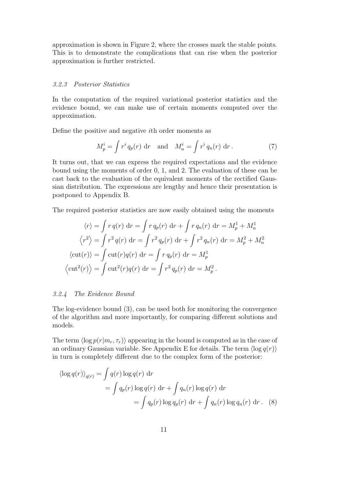approximation is shown in Figure 2, where the crosses mark the stable points. This is to demonstrate the complications that can rise when the posterior approximation is further restricted.

#### 3.2.3 Posterior Statistics

In the computation of the required variational posterior statistics and the evidence bound, we can make use of certain moments computed over the approximation.

Define the positive and negative ith order moments as

$$
M_p^i = \int r^i q_p(r) dr \text{ and } M_n^i = \int r^i q_n(r) dr.
$$
 (7)

It turns out, that we can express the required expectations and the evidence bound using the moments of order 0, 1, and 2. The evaluation of these can be cast back to the evaluation of the equivalent moments of the rectified Gaussian distribution. The expressions are lengthy and hence their presentation is postponed to Appendix B.

The required posterior statistics are now easily obtained using the moments

$$
\langle r \rangle = \int r q(r) dr = \int r q_p(r) dr + \int r q_n(r) dr = M_p^1 + M_n^1
$$
  

$$
\langle r^2 \rangle = \int r^2 q(r) dr = \int r^2 q_p(r) dr + \int r^2 q_n(r) dr = M_p^2 + M_n^2
$$
  

$$
\langle \text{cut}(r) \rangle = \int \text{cut}(r) q(r) dr = \int r q_p(r) dr = M_p^1
$$
  

$$
\langle \text{cut}^2(r) \rangle = \int \text{cut}^2(r) q(r) dr = \int r^2 q_p(r) dr = M_p^2.
$$

#### 3.2.4 The Evidence Bound

The log-evidence bound (3), can be used both for monitoring the convergence of the algorithm and more importantly, for comparing different solutions and models.

The term  $\langle \log p(r|m_r, \tau_r) \rangle$  appearing in the bound is computed as in the case of an ordinary Gaussian variable. See Appendix E for details. The term  $\langle \log q(r) \rangle$ in turn is completely different due to the complex form of the posterior:

$$
\langle \log q(r) \rangle_{q(r)} = \int q(r) \log q(r) dr
$$
  
= 
$$
\int q_p(r) \log q(r) dr + \int q_n(r) \log q(r) dr
$$
  
= 
$$
\int q_p(r) \log q_p(r) dr + \int q_n(r) \log q_n(r) dr.
$$
 (8)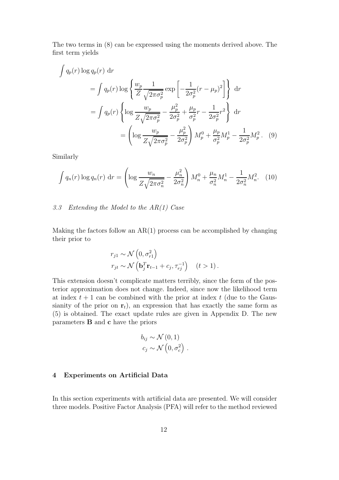The two terms in (8) can be expressed using the moments derived above. The first term yields

$$
\int q_p(r) \log q_p(r) dr
$$
\n
$$
= \int q_p(r) \log \left\{ \frac{w_p}{Z} \frac{1}{\sqrt{2\pi \sigma_p^2}} \exp \left[ -\frac{1}{2\sigma_p^2} (r - \mu_p)^2 \right] \right\} dr
$$
\n
$$
= \int q_p(r) \left\{ \log \frac{w_p}{Z \sqrt{2\pi \sigma_p^2}} - \frac{\mu_p^2}{2\sigma_p^2} + \frac{\mu_p}{\sigma_p^2} r - \frac{1}{2\sigma_p^2} r^2 \right\} dr
$$
\n
$$
= \left( \log \frac{w_p}{Z \sqrt{2\pi \sigma_p^2}} - \frac{\mu_p^2}{2\sigma_p^2} \right) M_p^0 + \frac{\mu_p}{\sigma_p^2} M_p^1 - \frac{1}{2\sigma_p^2} M_p^2. \tag{9}
$$

Similarly

$$
\int q_n(r) \log q_n(r) dr = \left( \log \frac{w_n}{Z \sqrt{2\pi \sigma_n^2}} - \frac{\mu_n^2}{2\sigma_n^2} \right) M_n^0 + \frac{\mu_n}{\sigma_n^2} M_n^1 - \frac{1}{2\sigma_n^2} M_n^2. \tag{10}
$$

#### 3.3 Extending the Model to the AR(1) Case

Making the factors follow an  $AR(1)$  process can be accomplished by changing their prior to

$$
r_{j1} \sim \mathcal{N}\left(0, \sigma_{r1}^2\right)
$$
  
\n
$$
r_{jt} \sim \mathcal{N}\left(\mathbf{b}_j^T \mathbf{r}_{t-1} + c_j, \tau_{rj}^{-1}\right) \quad (t > 1).
$$

This extension doesn't complicate matters terribly, since the form of the posterior approximation does not change. Indeed, since now the likelihood term at index  $t + 1$  can be combined with the prior at index t (due to the Gaussianity of the prior on  $r_t$ ), an expression that has exactly the same form as (5) is obtained. The exact update rules are given in Appendix D. The new parameters B and c have the priors

$$
b_{ij} \sim \mathcal{N}(0, 1)
$$
  

$$
c_j \sim \mathcal{N}(0, \sigma_c^2).
$$

## 4 Experiments on Artificial Data

In this section experiments with artificial data are presented. We will consider three models. Positive Factor Analysis (PFA) will refer to the method reviewed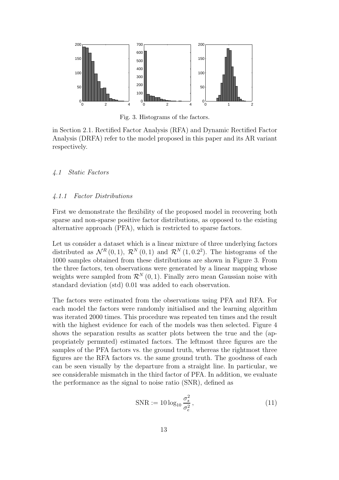

Fig. 3. Histograms of the factors.

in Section 2.1. Rectified Factor Analysis (RFA) and Dynamic Rectified Factor Analysis (DRFA) refer to the model proposed in this paper and its AR variant respectively.

#### 4.1 Static Factors

#### 4.1.1 Factor Distributions

First we demonstrate the flexibility of the proposed model in recovering both sparse and non-sparse positive factor distributions, as opposed to the existing alternative approach (PFA), which is restricted to sparse factors.

Let us consider a dataset which is a linear mixture of three underlying factors distributed as  $\mathcal{N}^R(0,1)$ ,  $\mathcal{R}^N(0,1)$  and  $\mathcal{R}^N(1,0.2^2)$ . The histograms of the 1000 samples obtained from these distributions are shown in Figure 3. From the three factors, ten observations were generated by a linear mapping whose weights were sampled from  $\mathcal{R}^{N}(0,1)$ . Finally zero mean Gaussian noise with standard deviation (std) 0.01 was added to each observation.

The factors were estimated from the observations using PFA and RFA. For each model the factors were randomly initialised and the learning algorithm was iterated 2000 times. This procedure was repeated ten times and the result with the highest evidence for each of the models was then selected. Figure 4 shows the separation results as scatter plots between the true and the (appropriately permuted) estimated factors. The leftmost three figures are the samples of the PFA factors vs. the ground truth, whereas the rightmost three figures are the RFA factors vs. the same ground truth. The goodness of each can be seen visually by the departure from a straight line. In particular, we see considerable mismatch in the third factor of PFA. In addition, we evaluate the performance as the signal to noise ratio (SNR), defined as

$$
\text{SNR} := 10 \log_{10} \frac{\sigma_s^2}{\sigma_e^2},\tag{11}
$$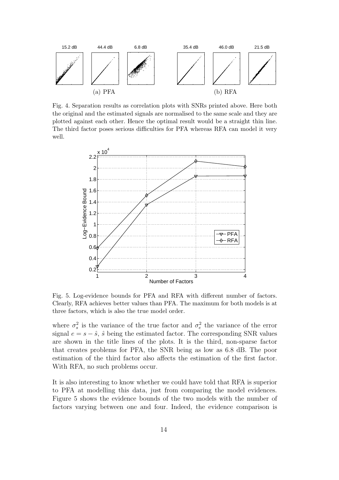

Fig. 4. Separation results as correlation plots with SNRs printed above. Here both the original and the estimated signals are normalised to the same scale and they are plotted against each other. Hence the optimal result would be a straight thin line. The third factor poses serious difficulties for PFA whereas RFA can model it very well.



Fig. 5. Log-evidence bounds for PFA and RFA with different number of factors. Clearly, RFA achieves better values than PFA. The maximum for both models is at three factors, which is also the true model order.

where  $\sigma_s^2$  is the variance of the true factor and  $\sigma_e^2$  the variance of the error signal  $e = s - \hat{s}$ ,  $\hat{s}$  being the estimated factor. The corresponding SNR values are shown in the title lines of the plots. It is the third, non-sparse factor that creates problems for PFA, the SNR being as low as 6.8 dB. The poor estimation of the third factor also affects the estimation of the first factor. With RFA, no such problems occur.

It is also interesting to know whether we could have told that RFA is superior to PFA at modelling this data, just from comparing the model evidences. Figure 5 shows the evidence bounds of the two models with the number of factors varying between one and four. Indeed, the evidence comparison is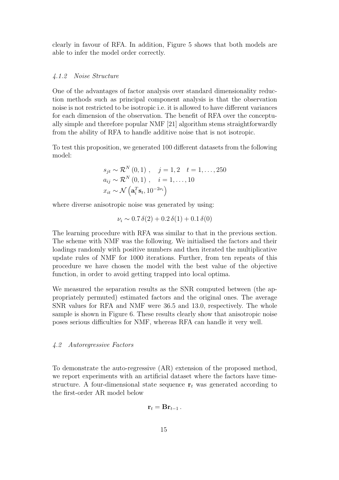clearly in favour of RFA. In addition, Figure 5 shows that both models are able to infer the model order correctly.

#### 4.1.2 Noise Structure

One of the advantages of factor analysis over standard dimensionality reduction methods such as principal component analysis is that the observation noise is not restricted to be isotropic i.e. it is allowed to have different variances for each dimension of the observation. The benefit of RFA over the conceptually simple and therefore popular NMF [21] algorithm stems straightforwardly from the ability of RFA to handle additive noise that is not isotropic.

To test this proposition, we generated 100 different datasets from the following model:

$$
s_{jt} \sim \mathcal{R}^{N}(0, 1) , \quad j = 1, 2 \quad t = 1, ..., 250
$$
  
\n
$$
a_{ij} \sim \mathcal{R}^{N}(0, 1) , \quad i = 1, ..., 10
$$
  
\n
$$
x_{it} \sim \mathcal{N}\left(\mathbf{a}_{i}^{T} \mathbf{s}_{t}, 10^{-2\nu_{i}}\right)
$$

where diverse anisotropic noise was generated by using:

$$
\nu_i \sim 0.7 \,\delta(2) + 0.2 \,\delta(1) + 0.1 \,\delta(0)
$$

The learning procedure with RFA was similar to that in the previous section. The scheme with NMF was the following. We initialised the factors and their loadings randomly with positive numbers and then iterated the multiplicative update rules of NMF for 1000 iterations. Further, from ten repeats of this procedure we have chosen the model with the best value of the objective function, in order to avoid getting trapped into local optima.

We measured the separation results as the SNR computed between (the appropriately permuted) estimated factors and the original ones. The average SNR values for RFA and NMF were 36.5 and 13.0, respectively. The whole sample is shown in Figure 6. These results clearly show that anisotropic noise poses serious difficulties for NMF, whereas RFA can handle it very well.

#### 4.2 Autoregressive Factors

To demonstrate the auto-regressive (AR) extension of the proposed method, we report experiments with an artificial dataset where the factors have timestructure. A four-dimensional state sequence  $\mathbf{r}_t$  was generated according to the first-order AR model below

$$
\mathbf{r}_t = \mathbf{B} \mathbf{r}_{t-1} \,.
$$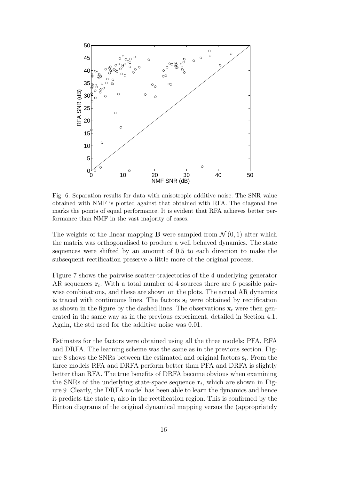

Fig. 6. Separation results for data with anisotropic additive noise. The SNR value obtained with NMF is plotted against that obtained with RFA. The diagonal line marks the points of equal performance. It is evident that RFA achieves better performance than NMF in the vast majority of cases.

The weights of the linear mapping **B** were sampled from  $\mathcal{N}(0, 1)$  after which the matrix was orthogonalised to produce a well behaved dynamics. The state sequences were shifted by an amount of 0.5 to each direction to make the subsequent rectification preserve a little more of the original process.

Figure 7 shows the pairwise scatter-trajectories of the 4 underlying generator AR sequences  $\mathbf{r}_t$ . With a total number of 4 sources there are 6 possible pairwise combinations, and these are shown on the plots. The actual AR dynamics is traced with continuous lines. The factors  $s_t$  were obtained by rectification as shown in the figure by the dashed lines. The observations  $x_t$  were then generated in the same way as in the previous experiment, detailed in Section 4.1. Again, the std used for the additive noise was 0.01.

Estimates for the factors were obtained using all the three models: PFA, RFA and DRFA. The learning scheme was the same as in the previous section. Figure 8 shows the SNRs between the estimated and original factors  $s_t$ . From the three models RFA and DRFA perform better than PFA and DRFA is slightly better than RFA. The true benefits of DRFA become obvious when examining the SNRs of the underlying state-space sequence  $r_t$ , which are shown in Figure 9. Clearly, the DRFA model has been able to learn the dynamics and hence it predicts the state  $\mathbf{r}_t$  also in the rectification region. This is confirmed by the Hinton diagrams of the original dynamical mapping versus the (appropriately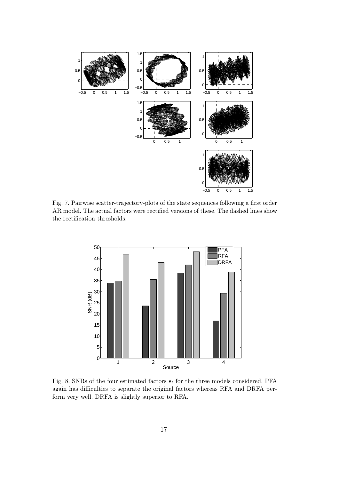

Fig. 7. Pairwise scatter-trajectory-plots of the state sequences following a first order AR model. The actual factors were rectified versions of these. The dashed lines show the rectification thresholds.



Fig. 8. SNRs of the four estimated factors  $s_t$  for the three models considered. PFA again has difficulties to separate the original factors whereas RFA and DRFA perform very well. DRFA is slightly superior to RFA.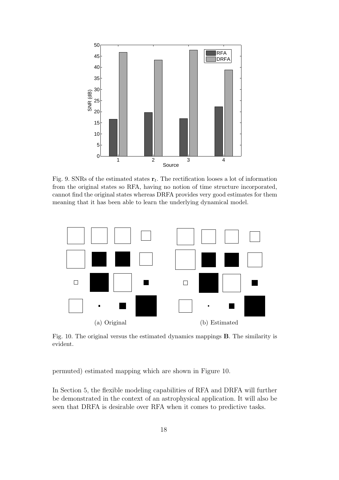

Fig. 9. SNRs of the estimated states  $\mathbf{r}_t$ . The rectification looses a lot of information from the original states so RFA, having no notion of time structure incorporated, cannot find the original states whereas DRFA provides very good estimates for them meaning that it has been able to learn the underlying dynamical model.



Fig. 10. The original versus the estimated dynamics mappings B. The similarity is evident.

permuted) estimated mapping which are shown in Figure 10.

In Section 5, the flexible modeling capabilities of RFA and DRFA will further be demonstrated in the context of an astrophysical application. It will also be seen that DRFA is desirable over RFA when it comes to predictive tasks.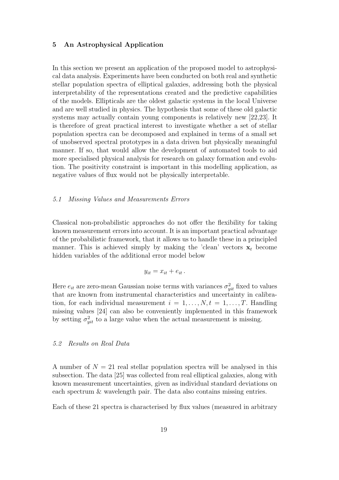#### 5 An Astrophysical Application

In this section we present an application of the proposed model to astrophysical data analysis. Experiments have been conducted on both real and synthetic stellar population spectra of elliptical galaxies, addressing both the physical interpretability of the representations created and the predictive capabilities of the models. Ellipticals are the oldest galactic systems in the local Universe and are well studied in physics. The hypothesis that some of these old galactic systems may actually contain young components is relatively new [22,23]. It is therefore of great practical interest to investigate whether a set of stellar population spectra can be decomposed and explained in terms of a small set of unobserved spectral prototypes in a data driven but physically meaningful manner. If so, that would allow the development of automated tools to aid more specialised physical analysis for research on galaxy formation and evolution. The positivity constraint is important in this modelling application, as negative values of flux would not be physically interpretable.

#### 5.1 Missing Values and Measurements Errors

Classical non-probabilistic approaches do not offer the flexibility for taking known measurement errors into account. It is an important practical advantage of the probabilistic framework, that it allows us to handle these in a principled manner. This is achieved simply by making the 'clean' vectors  $x_t$  become hidden variables of the additional error model below

$$
y_{it} = x_{it} + e_{it}.
$$

Here  $e_{it}$  are zero-mean Gaussian noise terms with variances  $\sigma_{yit}^2$  fixed to values that are known from instrumental characteristics and uncertainty in calibration, for each individual measurement  $i = 1, \ldots, N, t = 1, \ldots, T$ . Handling missing values [24] can also be conveniently implemented in this framework by setting  $\sigma_{yit}^2$  to a large value when the actual measurement is missing.

#### 5.2 Results on Real Data

A number of  $N = 21$  real stellar population spectra will be analysed in this subsection. The data [25] was collected from real elliptical galaxies, along with known measurement uncertainties, given as individual standard deviations on each spectrum & wavelength pair. The data also contains missing entries.

Each of these 21 spectra is characterised by flux values (measured in arbitrary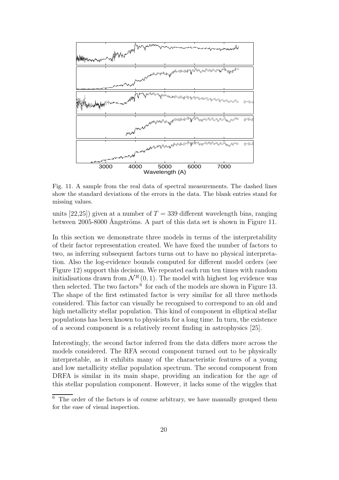

Fig. 11. A sample from the real data of spectral measurements. The dashed lines show the standard deviations of the errors in the data. The blank entries stand for missing values.

units  $[22,25]$  given at a number of  $T = 339$  different wavelength bins, ranging between 2005-8000 Ångströms. A part of this data set is shown in Figure 11.

In this section we demonstrate three models in terms of the interpretability of their factor representation created. We have fixed the number of factors to two, as inferring subsequent factors turns out to have no physical interpretation. Also the log-evidence bounds computed for different model orders (see Figure 12) support this decision. We repeated each run ten times with random initialisations drawn from  $\mathcal{N}^R(0, 1)$ . The model with highest log evidence was then selected. The two factors  $6$  for each of the models are shown in Figure 13. The shape of the first estimated factor is very similar for all three methods considered. This factor can visually be recognised to correspond to an old and high metallicity stellar population. This kind of component in elliptical stellar populations has been known to physicists for a long time. In turn, the existence of a second component is a relatively recent finding in astrophysics [25].

Interestingly, the second factor inferred from the data differs more across the models considered. The RFA second component turned out to be physically interpretable, as it exhibits many of the characteristic features of a young and low metallicity stellar population spectrum. The second component from DRFA is similar in its main shape, providing an indication for the age of this stellar population component. However, it lacks some of the wiggles that

 $6$  The order of the factors is of course arbitrary, we have manually grouped them for the ease of visual inspection.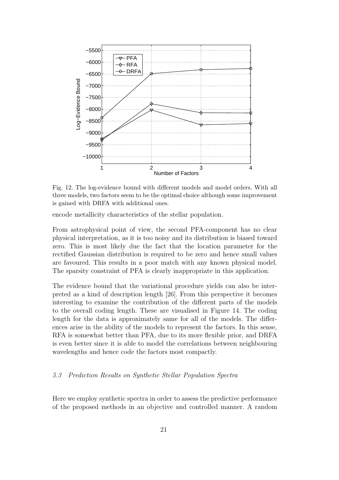

Fig. 12. The log-evidence bound with different models and model orders. With all three models, two factors seem to be the optimal choice although some improvement is gained with DRFA with additional ones.

encode metallicity characteristics of the stellar population.

From astrophysical point of view, the second PFA-component has no clear physical interpretation, as it is too noisy and its distribution is biased toward zero. This is most likely due the fact that the location parameter for the rectified Gaussian distribution is required to be zero and hence small values are favoured. This results in a poor match with any known physical model. The sparsity constraint of PFA is clearly inappropriate in this application.

The evidence bound that the variational procedure yields can also be interpreted as a kind of description length [26]. From this perspective it becomes interesting to examine the contribution of the different parts of the models to the overall coding length. These are visualised in Figure 14. The coding length for the data is approximately same for all of the models. The differences arise in the ability of the models to represent the factors. In this sense, RFA is somewhat better than PFA, due to its more flexible prior, and DRFA is even better since it is able to model the correlations between neighbouring wavelengths and hence code the factors most compactly.

## 5.3 Prediction Results on Synthetic Stellar Population Spectra

Here we employ synthetic spectra in order to assess the predictive performance of the proposed methods in an objective and controlled manner. A random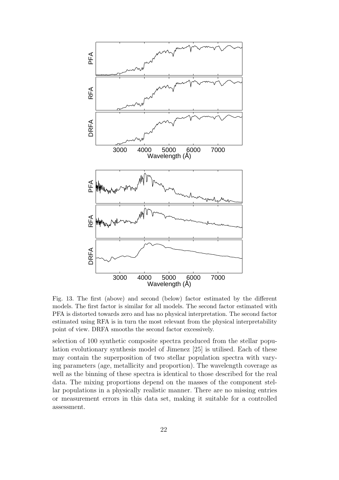

Fig. 13. The first (above) and second (below) factor estimated by the different models. The first factor is similar for all models. The second factor estimated with PFA is distorted towards zero and has no physical interpretation. The second factor estimated using RFA is in turn the most relevant from the physical interpretability point of view. DRFA smooths the second factor excessively.

selection of 100 synthetic composite spectra produced from the stellar population evolutionary synthesis model of Jimenez [25] is utilised. Each of these may contain the superposition of two stellar population spectra with varying parameters (age, metallicity and proportion). The wavelength coverage as well as the binning of these spectra is identical to those described for the real data. The mixing proportions depend on the masses of the component stellar populations in a physically realistic manner. There are no missing entries or measurement errors in this data set, making it suitable for a controlled assessment.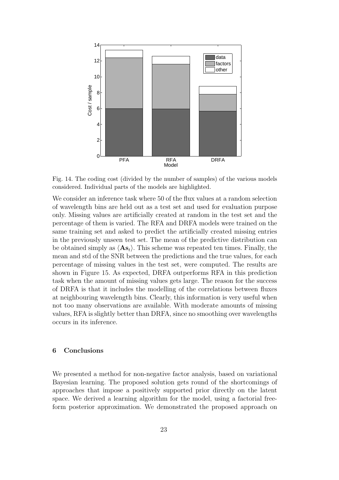

Fig. 14. The coding cost (divided by the number of samples) of the various models considered. Individual parts of the models are highlighted.

We consider an inference task where 50 of the flux values at a random selection of wavelength bins are held out as a test set and used for evaluation purpose only. Missing values are artificially created at random in the test set and the percentage of them is varied. The RFA and DRFA models were trained on the same training set and asked to predict the artificially created missing entries in the previously unseen test set. The mean of the predictive distribution can be obtained simply as  $\langle \mathbf{A} s_t \rangle$ . This scheme was repeated ten times. Finally, the mean and std of the SNR between the predictions and the true values, for each percentage of missing values in the test set, were computed. The results are shown in Figure 15. As expected, DRFA outperforms RFA in this prediction task when the amount of missing values gets large. The reason for the success of DRFA is that it includes the modelling of the correlations between fluxes at neighbouring wavelength bins. Clearly, this information is very useful when not too many observations are available. With moderate amounts of missing values, RFA is slightly better than DRFA, since no smoothing over wavelengths occurs in its inference.

#### 6 Conclusions

We presented a method for non-negative factor analysis, based on variational Bayesian learning. The proposed solution gets round of the shortcomings of approaches that impose a positively supported prior directly on the latent space. We derived a learning algorithm for the model, using a factorial freeform posterior approximation. We demonstrated the proposed approach on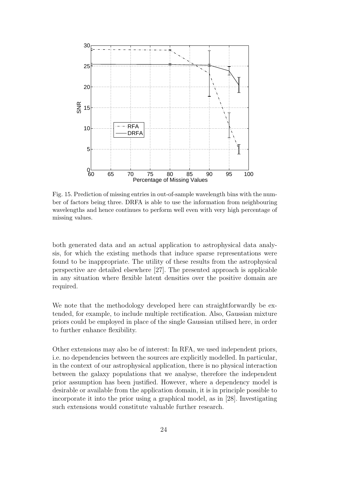

Fig. 15. Prediction of missing entries in out-of-sample wavelength bins with the number of factors being three. DRFA is able to use the information from neighbouring wavelengths and hence continues to perform well even with very high percentage of missing values.

both generated data and an actual application to astrophysical data analysis, for which the existing methods that induce sparse representations were found to be inappropriate. The utility of these results from the astrophysical perspective are detailed elsewhere [27]. The presented approach is applicable in any situation where flexible latent densities over the positive domain are required.

We note that the methodology developed here can straightforwardly be extended, for example, to include multiple rectification. Also, Gaussian mixture priors could be employed in place of the single Gaussian utilised here, in order to further enhance flexibility.

Other extensions may also be of interest: In RFA, we used independent priors, i.e. no dependencies between the sources are explicitly modelled. In particular, in the context of our astrophysical application, there is no physical interaction between the galaxy populations that we analyse, therefore the independent prior assumption has been justified. However, where a dependency model is desirable or available from the application domain, it is in principle possible to incorporate it into the prior using a graphical model, as in [28]. Investigating such extensions would constitute valuable further research.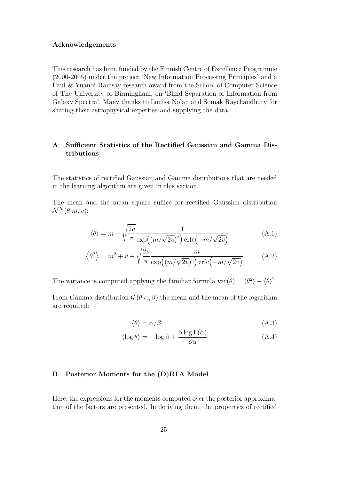#### Acknowledgements

This research has been funded by the Finnish Centre of Excellence Programme (2000-2005) under the project 'New Information Processing Principles' and a Paul & Yuanbi Ramsay research award from the School of Computer Science of The University of Birmingham, on 'Blind Separation of Information from Galaxy Spectra'. Many thanks to Louisa Nolan and Somak Raychaudhury for sharing their astrophysical expertise and supplying the data.

## A Sufficient Statistics of the Rectified Gaussian and Gamma Distributions

The statistics of rectified Gaussian and Gamma distributions that are needed in the learning algorithm are given in this section.

The mean and the mean square suffice for rectified Gaussian distribution  $\mathcal{N}^R(\theta|m,v)$ :

$$
\langle \theta \rangle = m + \sqrt{\frac{2v}{\pi}} \frac{1}{\exp((m/\sqrt{2v})^2) \operatorname{erfc}\left(-m/\sqrt{2v}\right)} \tag{A.1}
$$

$$
\left\langle \theta^2 \right\rangle = m^2 + v + \sqrt{\frac{2v}{\pi}} \frac{m}{\exp\left((m/\sqrt{2v})^2\right) \text{erfc}\left(-m/\sqrt{2v}\right)}\tag{A.2}
$$

The variance is computed applying the familiar formula  $var(\theta) = \langle \theta^2 \rangle - \langle \theta \rangle^2$ .

From Gamma distribution  $\mathcal{G}(\theta|\alpha,\beta)$  the mean and the mean of the logarithm are required:

$$
\langle \theta \rangle = \alpha / \beta \tag{A.3}
$$

$$
\langle \log \theta \rangle = -\log \beta + \frac{\partial \log \Gamma(\alpha)}{\partial \alpha} \tag{A.4}
$$

#### B Posterior Moments for the (D)RFA Model

Here, the expressions for the moments computed over the posterior approximation of the factors are presented. In deriving them, the properties of rectified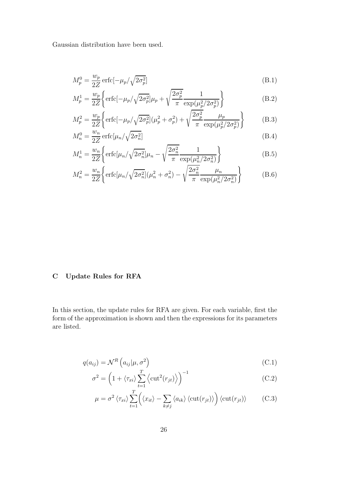Gaussian distribution have been used.

$$
M_p^0 = \frac{w_p}{2Z} \operatorname{erfc}[-\mu_p/\sqrt{2\sigma_p^2}]
$$
\n(B.1)

$$
M_p^1 = \frac{w_p}{2Z} \left\{ \text{erfc}[-\mu_p/\sqrt{2\sigma_p^2}] \mu_p + \sqrt{\frac{2\sigma_p^2}{\pi}} \frac{1}{\exp(\mu_p^2/2\sigma_p^2)} \right\} \tag{B.2}
$$

$$
M_p^2 = \frac{w_p}{2Z} \left\{ \text{erfc}[-\mu_p/\sqrt{2\sigma_p^2}](\mu_p^2 + \sigma_p^2) + \sqrt{\frac{2\sigma_p^2}{\pi}} \frac{\mu_p}{\exp(\mu_p^2/2\sigma_p^2)} \right\}
$$
(B.3)

$$
M_n^0 = \frac{w_n}{2Z} \operatorname{erfc}[\mu_n/\sqrt{2\sigma_n^2}]
$$
 (B.4)

$$
M_n^1 = \frac{w_n}{2Z} \left\{ \text{erfc}[\mu_n/\sqrt{2\sigma_n^2}]\mu_n - \sqrt{\frac{2\sigma_n^2}{\pi}} \frac{1}{\exp(\mu_n^2/2\sigma_n^2)} \right\} \tag{B.5}
$$

$$
M_n^2 = \frac{w_n}{2Z} \left\{ \text{erfc}[\mu_n/\sqrt{2\sigma_n^2}](\mu_n^2 + \sigma_n^2) - \sqrt{\frac{2\sigma_n^2}{\pi}} \frac{\mu_n}{\exp(\mu_n^2/2\sigma_n^2)} \right\}
$$
(B.6)

# C Update Rules for RFA

In this section, the update rules for RFA are given. For each variable, first the form of the approximation is shown and then the expressions for its parameters are listed.

$$
q(a_{ij}) = \mathcal{N}^R \left( a_{ij} | \mu, \sigma^2 \right) \tag{C.1}
$$

$$
\sigma^2 = \left(1 + \langle \tau_{xi} \rangle \sum_{t=1}^T \langle \text{cut}^2(\tau_{jt}) \rangle \right)^{-1} \tag{C.2}
$$

$$
\mu = \sigma^2 \langle \tau_{xi} \rangle \sum_{t=1}^T \left( \langle x_{it} \rangle - \sum_{k \neq j} \langle a_{ik} \rangle \langle \text{cut}(r_{jt}) \rangle \right) \langle \text{cut}(r_{jt}) \rangle \tag{C.3}
$$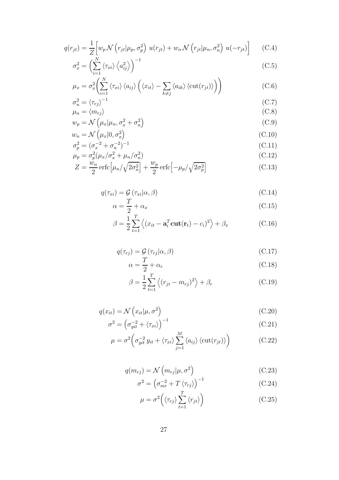$$
q(r_{jt}) = \frac{1}{Z} \left[ w_p \mathcal{N} \left( r_{jt} | \mu_p, \sigma_p^2 \right) u(r_{jt}) + w_n \mathcal{N} \left( r_{jt} | \mu_n, \sigma_n^2 \right) u(-r_{jt}) \right]
$$
 (C.4)

$$
\sigma_x^2 = \left(\sum_{i=1}^N \langle \tau_{xi} \rangle \langle a_{ij}^2 \rangle \right)^{-1} \tag{C.5}
$$

$$
\mu_x = \sigma_x^2 \left( \sum_{i=1}^N \langle \tau_{xi} \rangle \langle a_{ij} \rangle \left( \langle x_{it} \rangle - \sum_{k \neq j} \langle a_{ik} \rangle \langle \text{cut}(r_{jt}) \rangle \right) \right)
$$
(C.6)

$$
\sigma_n^2 = \langle \tau_{rj} \rangle^{-1}
$$
\n
$$
\mu_n = \langle m_{rj} \rangle
$$
\n(C.7)\n(C.8)

$$
w_p = \mathcal{N}\left(\mu_x | \mu_n, \sigma_x^2 + \sigma_n^2\right) \tag{C.9}
$$

$$
w_n = \mathcal{N}\left(\mu_x | 0, \sigma_x^2\right) \tag{C.10}
$$

$$
\sigma^2 = (\sigma^{-2} + \sigma^{-2})^{-1} \tag{C.11}
$$

$$
\sigma_p^2 = (\sigma_x^{-2} + \sigma_n^{-2})^{-1}
$$
\n
$$
\mu_p = \sigma_p^2 (\mu_x / \sigma_x^2 + \mu_n / \sigma_n^2)
$$
\n(C.11)\n(C.12)

$$
Z = \frac{\dot{w}_n}{2} \operatorname{erfc} \left[ \mu_n / \sqrt{2\sigma_n^2} \right] + \frac{w_p}{2} \operatorname{erfc} \left[ -\mu_p / \sqrt{2\sigma_p^2} \right] \tag{C.13}
$$

$$
q(\tau_{xi}) = \mathcal{G}(\tau_{xi}|\alpha, \beta) \tag{C.14}
$$

$$
\alpha = \frac{T}{2} + \alpha_x \tag{C.15}
$$

$$
\beta = \frac{1}{2} \sum_{t=1}^{T} \left\langle (x_{it} - \mathbf{a}_i^T \mathbf{cut}(\mathbf{r}_t) - c_i)^2 \right\rangle + \beta_x \tag{C.16}
$$

$$
q(\tau_{rj}) = \mathcal{G}(\tau_{rj}|\alpha, \beta) \tag{C.17}
$$

$$
\alpha = \frac{T}{2} + \alpha_r \tag{C.18}
$$

$$
\beta = \frac{1}{2} \sum_{t=1}^{T} \left\langle (r_{jt} - m_{rj})^2 \right\rangle + \beta_r \tag{C.19}
$$

$$
q(x_{it}) = \mathcal{N}\left(x_{it}|\mu, \sigma^2\right)
$$
\n(C.20)

$$
\sigma^2 = \left(\sigma_{yit}^{-2} + \langle \tau_{xi} \rangle\right)^{-1}
$$
\n(C.21)

$$
\mu = \sigma^2 \left( \sigma_{yit}^{-2} y_{it} + \langle \tau_{xi} \rangle \sum_{j=1}^{M} \langle a_{ij} \rangle \langle \text{cut}(r_{jt}) \rangle \right)
$$
 (C.22)

$$
q(m_{rj}) = \mathcal{N}\left(m_{rj}|\mu, \sigma^2\right) \tag{C.23}
$$

$$
\sigma^2 = \left(\sigma_{mr}^{-2} + T \left\langle \tau_{rj} \right\rangle\right)^{-1} \tag{C.24}
$$

$$
\mu = \sigma^2 \left( \langle \tau_{rj} \rangle \sum_{t=1}^{I} \langle r_{jt} \rangle \right) \tag{C.25}
$$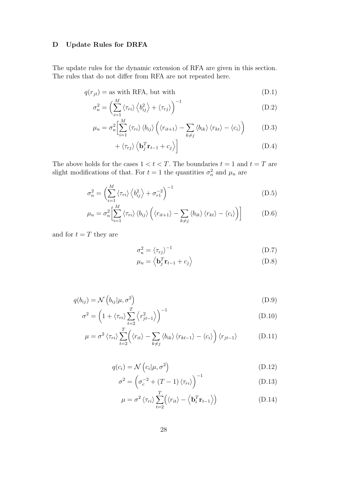# D Update Rules for DRFA

The update rules for the dynamic extension of RFA are given in this section. The rules that do not differ from RFA are not repeated here.

$$
q(r_{jt}) = \text{as with RFA, but with} \tag{D.1}
$$

$$
\sigma_n^2 = \left(\sum_{i=1}^M \langle \tau_{ri} \rangle \langle b_{ij}^2 \rangle + \langle \tau_{rj} \rangle \right)^{-1}
$$
 (D.2)

$$
\mu_n = \sigma_n^2 \Biggl[ \sum_{i=1}^M \langle \tau_{ri} \rangle \langle b_{ij} \rangle \left( \langle r_{it+1} \rangle - \sum_{k \neq j} \langle b_{ik} \rangle \langle r_{kt} \rangle - \langle c_i \rangle \right) \qquad (D.3)
$$

$$
+\langle \tau_{rj} \rangle \langle \mathbf{b}_j^T \mathbf{r}_{t-1} + c_j \rangle \Big]
$$
 (D.4)

The above holds for the cases  $1 < t < T$ . The boundaries  $t = 1$  and  $t = T$  are slight modifications of that. For  $t = 1$  the quantities  $\sigma_n^2$  and  $\mu_n$  are

$$
\sigma_n^2 = \left(\sum_{i=1}^M \langle \tau_{ri} \rangle \langle b_{ij}^2 \rangle + \sigma_{r1}^{-2} \right)^{-1}
$$
\n(D.5)

$$
\mu_n = \sigma_n^2 \Biggl[ \sum_{i=1}^M \langle \tau_{ri} \rangle \langle b_{ij} \rangle \Biggl( \langle r_{it+1} \rangle - \sum_{k \neq j} \langle b_{ik} \rangle \langle r_{kt} \rangle - \langle c_i \rangle \Biggr) \Biggr] \tag{D.6}
$$

and for  $t = T$  they are

$$
\sigma_n^2 = \langle \tau_{rj} \rangle^{-1} \tag{D.7}
$$

$$
\mu_n = \left\langle \mathbf{b}_j^T \mathbf{r}_{t-1} + c_j \right\rangle \tag{D.8}
$$

$$
q(b_{ij}) = \mathcal{N}\left(b_{ij}|\mu, \sigma^2\right)
$$
\n
$$
\left(D.9\right)
$$
\n
$$
\left(D.9\right)
$$

$$
\sigma^2 = \left(1 + \langle \tau_{ri} \rangle \sum_{t=2}^T \langle r_{jt-1}^2 \rangle \right)^{-1} \tag{D.10}
$$

$$
\mu = \sigma^2 \langle \tau_{ri} \rangle \sum_{t=2}^T \left( \langle r_{it} \rangle - \sum_{k \neq j} \langle b_{ik} \rangle \langle r_{kt-1} \rangle - \langle c_i \rangle \right) \langle r_{jt-1} \rangle \tag{D.11}
$$

$$
q(c_i) = \mathcal{N}(c_i | \mu, \sigma^2)
$$
 (D.12)

$$
\sigma^2 = \left(\sigma_c^{-2} + (T - 1)\left\langle \tau_{ri} \right\rangle\right)^{-1} \tag{D.13}
$$

$$
\mu = \sigma^2 \langle \tau_{ri} \rangle \sum_{t=2}^T \Big( \langle r_{it} \rangle - \Big\langle \mathbf{b}_i^T \mathbf{r}_{t-1} \Big\rangle \Big) \tag{D.14}
$$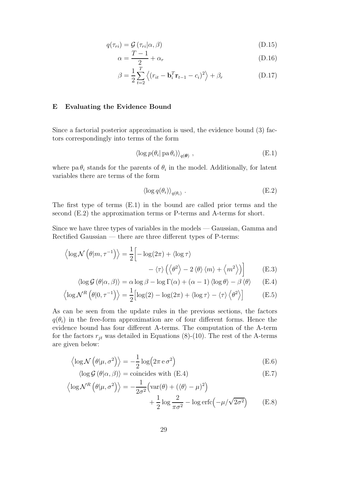$$
q(\tau_{ri}) = \mathcal{G}(\tau_{ri}|\alpha, \beta) \tag{D.15}
$$

$$
\alpha = \frac{T - 1}{2} + \alpha_r \tag{D.16}
$$

$$
\beta = \frac{1}{2} \sum_{t=2}^{T} \left\langle (r_{it} - \mathbf{b}_{i}^{T} \mathbf{r}_{t-1} - c_{i})^{2} \right\rangle + \beta_{r}
$$
 (D.17)

#### E Evaluating the Evidence Bound

Since a factorial posterior approximation is used, the evidence bound (3) factors correspondingly into terms of the form

$$
\langle \log p(\theta_i | \operatorname{pa} \theta_i) \rangle_{q(\boldsymbol{\theta})}, \qquad (\text{E.1})
$$

where pa $\theta_i$  stands for the parents of  $\theta_i$  in the model. Additionally, for latent variables there are terms of the form

$$
\langle \log q(\theta_i) \rangle_{q(\theta_i)} . \tag{E.2}
$$

The first type of terms (E.1) in the bound are called prior terms and the second (E.2) the approximation terms or P-terms and A-terms for short.

Since we have three types of variables in the models — Gaussian, Gamma and Rectified Gaussian — there are three different types of P-terms:

$$
\langle \log \mathcal{N}(\theta|m, \tau^{-1}) \rangle = \frac{1}{2} \Big[ -\log(2\pi) + \langle \log \tau \rangle - \langle \tau \rangle \left( \langle \theta^2 \rangle - 2 \langle \theta \rangle \langle m \rangle + \langle m^2 \rangle \right) \Big] \tag{E.3}
$$

$$
\langle \log \mathcal{G}(\theta | \alpha, \beta) \rangle = \alpha \log \beta - \log \Gamma(\alpha) + (\alpha - 1) \langle \log \theta \rangle - \beta \langle \theta \rangle \tag{E.4}
$$

$$
\left\langle \log \mathcal{N}^R \left( \theta | 0, \tau^{-1} \right) \right\rangle = \frac{1}{2} \left[ \log(2) - \log(2\pi) + \left\langle \log \tau \right\rangle - \left\langle \tau \right\rangle \left\langle \theta^2 \right\rangle \right] \tag{E.5}
$$

As can be seen from the update rules in the previous sections, the factors  $q(\theta_i)$  in the free-form approximation are of four different forms. Hence the evidence bound has four different A-terms. The computation of the A-term for the factors  $r_{jt}$  was detailed in Equations (8)-(10). The rest of the A-terms are given below:

$$
\left\langle \log \mathcal{N}\left(\theta | \mu, \sigma^2\right) \right\rangle = -\frac{1}{2} \log \left(2\pi \mathbf{e} \,\sigma^2\right) \tag{E.6}
$$

$$
\langle \log \mathcal{G}(\theta | \alpha, \beta) \rangle = \text{coincides with (E.4)}
$$
 (E.7)

$$
\langle \log \mathcal{N}^R \left( \theta | \mu, \sigma^2 \right) \rangle = -\frac{1}{2\sigma^2} \Big( \text{var}(\theta) + (\langle \theta \rangle - \mu)^2 \Big) + \frac{1}{2} \log \frac{2}{\pi \sigma^2} - \log \text{erfc} \Big( -\mu / \sqrt{2\sigma^2} \Big) \tag{E.8}
$$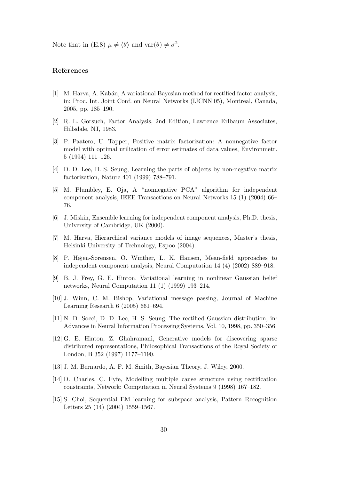Note that in (E.8)  $\mu \neq \langle \theta \rangle$  and  $var(\theta) \neq \sigma^2$ .

#### References

- [1] M. Harva, A. Kabán, A variational Bayesian method for rectified factor analysis, in: Proc. Int. Joint Conf. on Neural Networks (IJCNN'05), Montreal, Canada, 2005, pp. 185–190.
- [2] R. L. Gorsuch, Factor Analysis, 2nd Edition, Lawrence Erlbaum Associates, Hillsdale, NJ, 1983.
- [3] P. Paatero, U. Tapper, Positive matrix factorization: A nonnegative factor model with optimal utilization of error estimates of data values, Environmetr. 5 (1994) 111–126.
- [4] D. D. Lee, H. S. Seung, Learning the parts of objects by non-negative matrix factorization, Nature 401 (1999) 788–791.
- [5] M. Plumbley, E. Oja, A "nonnegative PCA" algorithm for independent component analysis, IEEE Transactions on Neural Networks 15 (1) (2004) 66– 76.
- [6] J. Miskin, Ensemble learning for independent component analysis, Ph.D. thesis, University of Cambridge, UK (2000).
- [7] M. Harva, Hierarchical variance models of image sequences, Master's thesis, Helsinki University of Technology, Espoo (2004).
- [8] P. Højen-Sørensen, O. Winther, L. K. Hansen, Mean-field approaches to independent component analysis, Neural Computation 14 (4) (2002) 889–918.
- [9] B. J. Frey, G. E. Hinton, Variational learning in nonlinear Gaussian belief networks, Neural Computation 11 (1) (1999) 193–214.
- [10] J. Winn, C. M. Bishop, Variational message passing, Journal of Machine Learning Research 6 (2005) 661–694.
- [11] N. D. Socci, D. D. Lee, H. S. Seung, The rectified Gaussian distribution, in: Advances in Neural Information Processing Systems, Vol. 10, 1998, pp. 350–356.
- [12] G. E. Hinton, Z. Ghahramani, Generative models for discovering sparse distributed representations, Philosophical Transactions of the Royal Society of London, B 352 (1997) 1177–1190.
- [13] J. M. Bernardo, A. F. M. Smith, Bayesian Theory, J. Wiley, 2000.
- [14] D. Charles, C. Fyfe, Modelling multiple cause structure using rectification constraints, Network: Computation in Neural Systems 9 (1998) 167–182.
- [15] S. Choi, Sequential EM learning for subspace analysis, Pattern Recognition Letters 25 (14) (2004) 1559–1567.